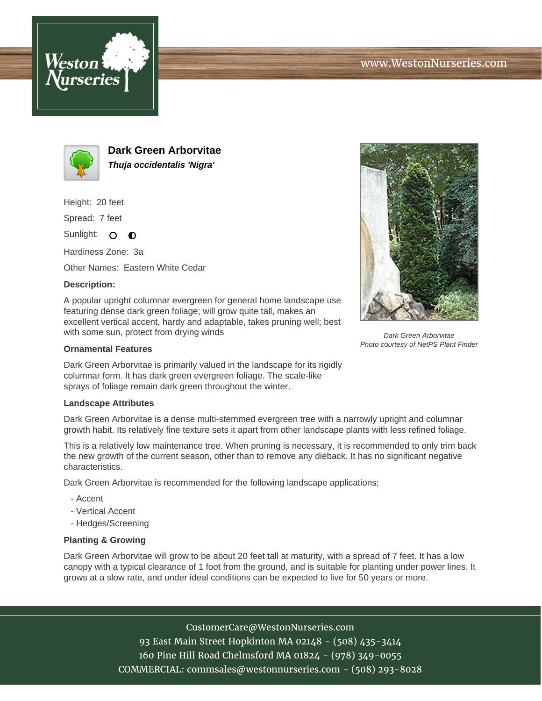



**Dark Green Arborvitae Thuja occidentalis 'Nigra'**

Height: 20 feet

Spread: 7 feet

Sunlight: O **O** 

Hardiness Zone: 3a

Other Names: Eastern White Cedar

## **Description:**

A popular upright columnar evergreen for general home landscape use featuring dense dark green foliage; will grow quite tall, makes an excellent vertical accent, hardy and adaptable, takes pruning well; best with some sun, protect from drying winds

## **Ornamental Features**

Dark Green Arborvitae is primarily valued in the landscape for its rigidly columnar form. It has dark green evergreen foliage. The scale-like sprays of foliage remain dark green throughout the winter.

## **Landscape Attributes**

Dark Green Arborvitae is a dense multi-stemmed evergreen tree with a narrowly upright and columnar growth habit. Its relatively fine texture sets it apart from other landscape plants with less refined foliage.

This is a relatively low maintenance tree. When pruning is necessary, it is recommended to only trim back the new growth of the current season, other than to remove any dieback. It has no significant negative characteristics.

Dark Green Arborvitae is recommended for the following landscape applications;

- Accent
- Vertical Accent
- Hedges/Screening

## **Planting & Growing**

Dark Green Arborvitae will grow to be about 20 feet tall at maturity, with a spread of 7 feet. It has a low canopy with a typical clearance of 1 foot from the ground, and is suitable for planting under power lines. It grows at a slow rate, and under ideal conditions can be expected to live for 50 years or more.

> CustomerCare@WestonNurseries.com 93 East Main Street Hopkinton MA 02148 - (508) 435-3414 160 Pine Hill Road Chelmsford MA 01824 - (978) 349-0055 COMMERCIAL: commsales@westonnurseries.com - (508) 293-8028



Dark Green Arborvitae Photo courtesy of NetPS Plant Finder